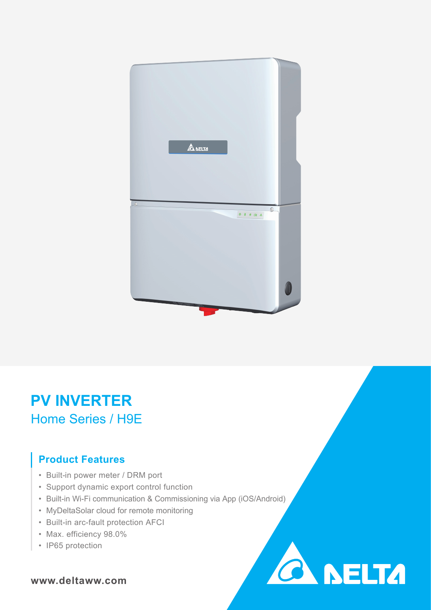

# **PV INVERTER** Home Series / H9E

### **Product Features**

- Built-in power meter / DRM port
- Support dynamic export control function
- Built-in Wi-Fi communication & Commissioning via App (iOS/Android)

**CA NELTA** 

- MyDeltaSolar cloud for remote monitoring
- Built-in arc-fault protection AFCI
- Max. efficiency 98.0%
- IP65 protection

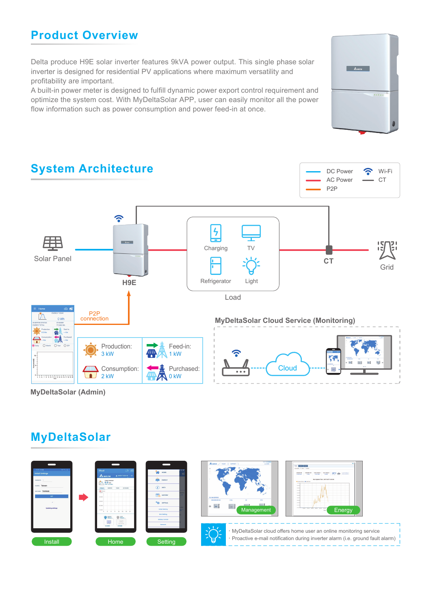### **Product Overview**

Delta produce H9E solar inverter features 9kVA power output. This single phase solar inverter is designed for residential PV applications where maximum versatility and profitability are important.

A built-in power meter is designed to fulfill dynamic power export control requirement and optimize the system cost. With MyDeltaSolar APP, user can easily monitor all the power flow information such as power consumption and power feed-in at once.





### **MyDeltaSolar**

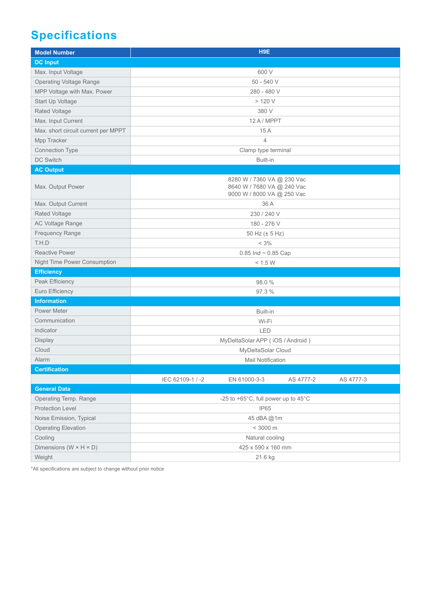## **Specifications**

| <b>Model Number</b>                  | H9E                                                                                    |
|--------------------------------------|----------------------------------------------------------------------------------------|
| <b>DC Input</b>                      |                                                                                        |
| Max. Input Voltage                   | 600 V                                                                                  |
| <b>Operating Voltage Range</b>       | $50 - 540V$                                                                            |
| MPP Voltage with Max. Power          | 280 - 480 V                                                                            |
| Start Up Voltage                     | > 120 V                                                                                |
| <b>Rated Voltage</b>                 | 380 V                                                                                  |
| Max. Input Current                   | 12 A / MPPT                                                                            |
| Max. short circuit current per MPPT  | 15A                                                                                    |
| Mpp Tracker                          | $\overline{4}$                                                                         |
| <b>Connection Type</b>               | Clamp type terminal                                                                    |
| DC Switch                            | Built-in                                                                               |
| <b>AC Output</b>                     |                                                                                        |
| Max. Output Power                    | 8280 W / 7360 VA @ 230 Vac<br>8640 W / 7680 VA @ 240 Vac<br>9000 W / 8000 VA @ 250 Vac |
| Max. Output Current                  | 36 A                                                                                   |
| <b>Rated Voltage</b>                 | 230 / 240 V                                                                            |
| AC Voltage Range                     | 180 - 276 V                                                                            |
| <b>Frequency Range</b>               | 50 Hz (± 5 Hz)                                                                         |
| T.H.D                                | $< 3\%$                                                                                |
| <b>Reactive Power</b>                | 0.85 Ind $\sim$ 0.85 Cap                                                               |
| Night Time Power Consumption         | < 1.5 W                                                                                |
| <b>Efficiency</b>                    |                                                                                        |
| Peak Efficiency                      | 98.0 %                                                                                 |
| Euro Efficiency                      | 97.3 %                                                                                 |
| <b>Information</b>                   |                                                                                        |
| <b>Power Meter</b>                   | Built-in                                                                               |
| Communication                        | Wi-Fi                                                                                  |
| Indicator                            | LED                                                                                    |
| Display                              | MyDeltaSolar APP (iOS / Android)                                                       |
| Cloud                                | MyDeltaSolar Cloud                                                                     |
| Alarm                                | <b>Mail Notification</b>                                                               |
| Certification                        |                                                                                        |
|                                      | IEC 62109-1 / -2<br>EN 61000-3-3<br>AS 4777-2<br>AS 4777-3                             |
| <b>General Data</b>                  |                                                                                        |
| Operating Temp. Range                | -25 to +65°C, full power up to 45°C                                                    |
| Protection Level                     | IP65                                                                                   |
| Noise Emission, Typical              | 45 dBA @1m                                                                             |
| <b>Operating Elevation</b>           | $< 3000 \text{ m}$                                                                     |
| Cooling                              | Natural cooling                                                                        |
| Dimensions ( $W \times H \times D$ ) | 425 x 590 x 160 mm                                                                     |
| Weight                               | 21.6 kg                                                                                |

\*All specifications are subject to change without prior notice